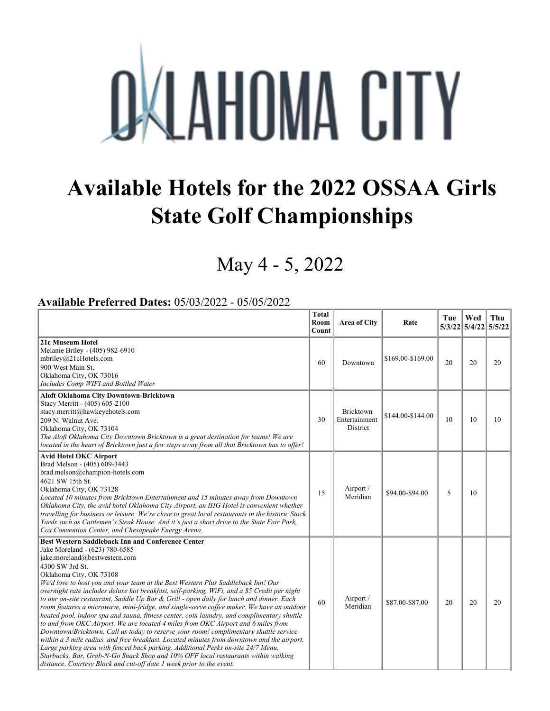## **OKLAHOMA CITY**

## **Available Hotels for the 2022 OSSAA Girls State Golf Championships**

## May 4 - 5, 2022

## **Available Preferred Dates:** 05/03/2022 - 05/05/2022

|                                                                                                                                                                                                                                                                                                                                                                                                                                                                                                                                                                                                                                                                                                                                                                                                                                                                                                                                                                                                                                                                                                                                                                                   | <b>Total</b><br>Room<br>Count | Area of City                           | Rate              | Tue | Wed<br>5/3/22 5/4/22 5/5/22 | Thu |
|-----------------------------------------------------------------------------------------------------------------------------------------------------------------------------------------------------------------------------------------------------------------------------------------------------------------------------------------------------------------------------------------------------------------------------------------------------------------------------------------------------------------------------------------------------------------------------------------------------------------------------------------------------------------------------------------------------------------------------------------------------------------------------------------------------------------------------------------------------------------------------------------------------------------------------------------------------------------------------------------------------------------------------------------------------------------------------------------------------------------------------------------------------------------------------------|-------------------------------|----------------------------------------|-------------------|-----|-----------------------------|-----|
| 21c Museum Hotel<br>Melanie Briley - (405) 982-6910<br>mbriley@21cHotels.com<br>900 West Main St.<br>Oklahoma City, OK 73016<br>Includes Comp WIFI and Bottled Water                                                                                                                                                                                                                                                                                                                                                                                                                                                                                                                                                                                                                                                                                                                                                                                                                                                                                                                                                                                                              | 60                            | Downtown                               | \$169.00-\$169.00 | 20  | 20                          | 20  |
| <b>Aloft Oklahoma City Downtown-Bricktown</b><br>Stacy Merritt - (405) 605-2100<br>stacy.merritt@hawkeyehotels.com<br>209 N. Walnut Ave.<br>Oklahoma City, OK 73104<br>The Aloft Oklahoma City Downtown Bricktown is a great destination for teams! We are<br>located in the heart of Bricktown just a few steps away from all that Bricktown has to offer!                                                                                                                                                                                                                                                                                                                                                                                                                                                                                                                                                                                                                                                                                                                                                                                                                       | 30                            | Bricktown<br>Entertainment<br>District | \$144.00-\$144.00 | 10  | 10                          | 10  |
| <b>Avid Hotel OKC Airport</b><br>Brad Melson - (405) 609-3443<br>brad.melson@champion-hotels.com<br>4621 SW 15th St.<br>Oklahoma City, OK 73128<br>Located 10 minutes from Bricktown Entertainment and 15 minutes away from Downtown<br>Oklahoma City, the avid hotel Oklahoma City Airport, an IHG Hotel is convenient whether<br>travelling for business or leisure. We're close to great local restaurants in the historic Stock<br>Yards such as Cattlemen's Steak House. And it's just a short drive to the State Fair Park,<br>Cox Convention Center, and Chesapeake Energy Arena.                                                                                                                                                                                                                                                                                                                                                                                                                                                                                                                                                                                          | 15                            | Airport /<br>Meridian                  | \$94.00-\$94.00   | 5   | 10                          |     |
| <b>Best Western Saddleback Inn and Conference Center</b><br>Jake Moreland - (623) 780-6585<br>jake.moreland@bestwestern.com<br>4300 SW 3rd St.<br>Oklahoma City, OK 73108<br>We'd love to host you and your team at the Best Western Plus Saddleback Inn! Our<br>overnight rate includes deluxe hot breakfast, self-parking, WiFi, and a \$5 Credit per night<br>to our on-site restaurant, Saddle Up Bar & Grill - open daily for lunch and dinner. Each<br>room features a microwave, mini-fridge, and single-serve coffee maker. We have an outdoor<br>heated pool, indoor spa and sauna, fitness center, coin laundry, and complimentary shuttle<br>to and from OKC Airport. We are located 4 miles from OKC Airport and 6 miles from<br>Downtown/Bricktown. Call us today to reserve your room! complimentary shuttle service<br>within a 3 mile radius, and free breakfast. Located minutes from downtown and the airport.<br>Large parking area with fenced back parking. Additional Perks on-site 24/7 Menu,<br>Starbucks, Bar, Grab-N-Go Snack Shop and 10% OFF local restaurants within walking<br>distance. Courtesy Block and cut-off date 1 week prior to the event. | 60                            | Airport /<br>Meridian                  | \$87.00-\$87.00   | 20  | 20                          | 20  |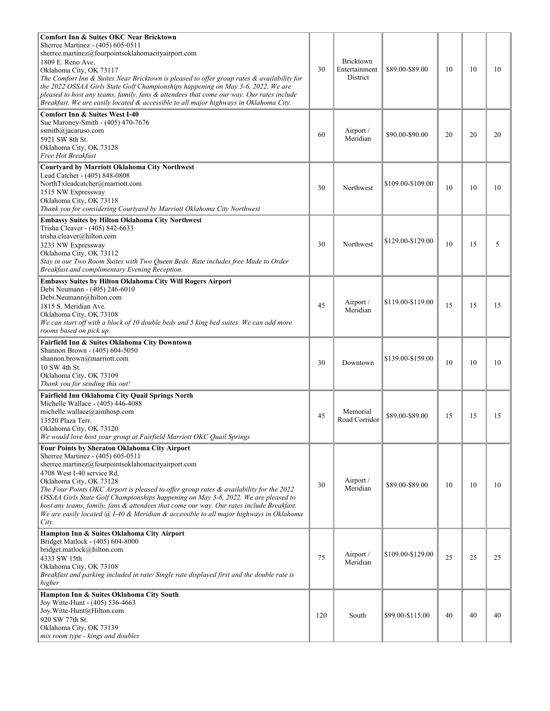| <b>Comfort Inn &amp; Suites OKC Near Bricktown</b><br>Sherree Martinez - (405) 605-0511<br>sherree.martinez@fourpointsoklahomacityairport.com<br>1809 E. Reno Ave.<br>Oklahoma City, OK 73117<br>The Comfort Inn & Suites Near Bricktown is pleased to offer group rates & availability for<br>the 2022 OSSAA Girls State Golf Championships happening on May 3-6, 2022. We are<br>pleased to host any teams, family, fans & attendees that come our way. Our rates include<br>Breakfast. We are easily located & accessible to all major highways in Oklahoma City.              | 30  | Bricktown<br>Entertainment<br>District | \$89.00-\$89.00   | 10 | 10 | 10 |
|-----------------------------------------------------------------------------------------------------------------------------------------------------------------------------------------------------------------------------------------------------------------------------------------------------------------------------------------------------------------------------------------------------------------------------------------------------------------------------------------------------------------------------------------------------------------------------------|-----|----------------------------------------|-------------------|----|----|----|
| <b>Comfort Inn &amp; Suites West I-40</b><br>Sue Maroney-Smith - (405) 470-7676<br>ssmith@jacaruso.com<br>5921 SW 8th St.<br>Oklahoma City, OK 73128<br>Free Hot Breakfast                                                                                                                                                                                                                                                                                                                                                                                                        | 60  | Airport /<br>Meridian                  | \$90.00-\$90.00   | 20 | 20 | 20 |
| Courtyard by Marriott Oklahoma City Northwest<br>Lead Catcher - (405) 848-0808<br>NorthTxleadcatcher@marriott.com<br>1515 NW Expressway<br>Oklahoma City, OK 73118<br>Thank you for considering Courtyard by Marriott Oklahoma City Northwest                                                                                                                                                                                                                                                                                                                                     | 30  | Northwest                              | \$109.00-\$109.00 | 10 | 10 | 10 |
| <b>Embassy Suites by Hilton Oklahoma City Northwest</b><br>Trisha Cleaver - (405) 842-6633<br>trisha.cleaver@hilton.com<br>3233 NW Expressway<br>Oklahoma City, OK 73112<br>Stay in our Two Room Suites with Two Queen Beds. Rate includes free Made to Order<br>Breakfast and complimentary Evening Reception.                                                                                                                                                                                                                                                                   | 30  | Northwest                              | \$129.00-\$129.00 | 10 | 15 | 5  |
| Embassy Suites by Hilton Oklahoma City Will Rogers Airport<br>Debi Neumann - (405) 246-6010<br>Debi.Neumann@hilton.com<br>1815 S. Meridian Ave.<br>Oklahoma City, OK 73108<br>We can start off with a block of 10 double beds and 5 king bed suites. We can add more<br>rooms based on pick up.                                                                                                                                                                                                                                                                                   | 45  | Airport /<br>Meridian                  | \$119.00-\$119.00 | 15 | 15 | 15 |
| Fairfield Inn & Suites Oklahoma City Downtown<br>Shannon Brown - (405) 604-5050<br>shannon.brown@marriott.com<br>10 SW 4th St.<br>Oklahoma City, OK 73109<br>Thank you for sending this out!                                                                                                                                                                                                                                                                                                                                                                                      | 30  | Downtown                               | \$139.00-\$159.00 | 10 | 10 | 10 |
| Fairfield Inn Oklahoma City Quail Springs North<br>Michelle Wallace - (405) 446-4088<br>michelle.wallace@aimhosp.com<br>13520 Plaza Terr.<br>Oklahoma City, OK 73120<br>We would love host your group at Fairfield Marriott OKC Quail Springs                                                                                                                                                                                                                                                                                                                                     | 45  | Memorial<br>Road Corridor              | \$89.00-\$89.00   | 15 | 15 | 15 |
| Four Points by Sheraton Oklahoma City Airport<br>Sherree Martinez - (405) 605-0511<br>sherree.martinez@fourpointsoklahomacityairport.com<br>4708 West I-40 service Rd.<br>Oklahoma City, OK 73128<br>The Four Points OKC Airport is pleased to offer group rates & availability for the 2022<br>OSSAA Girls State Golf Championships happening on May 3-6, 2022. We are pleased to<br>host any teams, family, fans & attendees that come our way. Our rates include Breakfast.<br>We are easily located @ I-40 & Meridian & accessible to all major highways in Oklahoma<br>City. | 30  | Airport /<br>Meridian                  | \$89.00-\$89.00   | 10 | 10 | 10 |
| Hampton Inn & Suites Oklahoma City Airport<br>Bridget Matlock - (405) 604-8000<br>bridget.matlock@hilton.com<br>4333 SW 15th<br>Oklahoma City, OK 73108<br>Breakfast and parking included in rate/ Single rate displayed first and the double rate is<br>higher                                                                                                                                                                                                                                                                                                                   | 75  | Airport /<br>Meridian                  | \$109.00-\$129.00 | 25 | 25 | 25 |
| Hampton Inn & Suites Oklahoma City South<br>Joy Witte-Hunt - (405) 536-4663<br>Joy.Witte-Hunt@Hilton.com<br>920 SW 77th St.<br>Oklahoma City, OK 73139<br>mix room type - kings and doubles                                                                                                                                                                                                                                                                                                                                                                                       | 120 | South                                  | \$99.00-\$115.00  | 40 | 40 | 40 |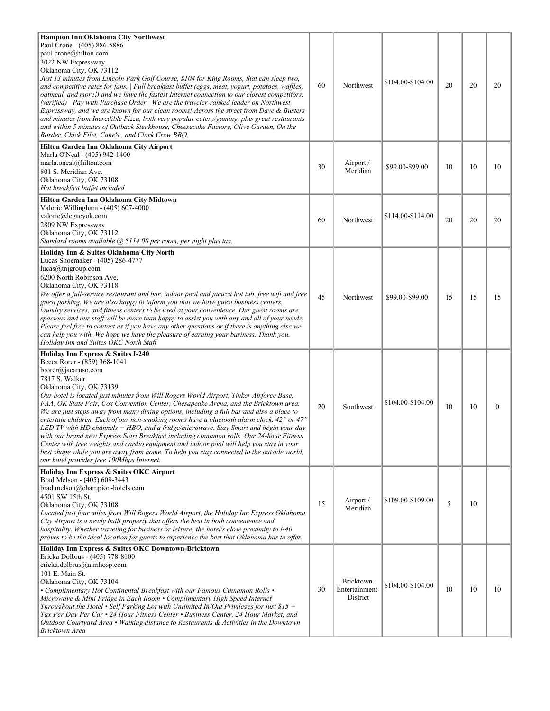| Hampton Inn Oklahoma City Northwest<br>Paul Crone - (405) 886-5886<br>paul.crone@hilton.com<br>3022 NW Expressway<br>Oklahoma City, OK 73112<br>Just 13 minutes from Lincoln Park Golf Course, \$104 for King Rooms, that can sleep two,<br>and competitive rates for fans.   Full breakfast buffet (eggs, meat, yogurt, potatoes, waffles,<br>oatmeal, and more!) and we have the fastest Internet connection to our closest competitors.<br>(verified)   Pay with Purchase Order   We are the traveler-ranked leader on Northwest<br>Expressway, and we are known for our clean rooms! Across the street from Dave & Busters<br>and minutes from Incredible Pizza, both very popular eatery/gaming, plus great restaurants<br>and within 5 minutes of Outback Steakhouse, Cheesecake Factory, Olive Garden, On the<br>Border, Chick Filet, Cane's., and Clark Crew BBQ,                                                                      | 60 | Northwest                              | \$104.00-\$104.00 | 20 | 20 | 20               |
|------------------------------------------------------------------------------------------------------------------------------------------------------------------------------------------------------------------------------------------------------------------------------------------------------------------------------------------------------------------------------------------------------------------------------------------------------------------------------------------------------------------------------------------------------------------------------------------------------------------------------------------------------------------------------------------------------------------------------------------------------------------------------------------------------------------------------------------------------------------------------------------------------------------------------------------------|----|----------------------------------------|-------------------|----|----|------------------|
| Hilton Garden Inn Oklahoma City Airport<br>Marla O'Neal - (405) 942-1400<br>marla.oneal@hilton.com<br>801 S. Meridian Ave.<br>Oklahoma City, OK 73108<br>Hot breakfast buffet included.                                                                                                                                                                                                                                                                                                                                                                                                                                                                                                                                                                                                                                                                                                                                                        | 30 | Airport /<br>Meridian                  | \$99.00-\$99.00   | 10 | 10 | 10               |
| Hilton Garden Inn Oklahoma City Midtown<br>Valorie Willingham - (405) 607-4000<br>valorie@legacyok.com<br>2809 NW Expressway<br>Oklahoma City, OK 73112<br>Standard rooms available @ \$114.00 per room, per night plus tax.                                                                                                                                                                                                                                                                                                                                                                                                                                                                                                                                                                                                                                                                                                                   | 60 | Northwest                              | \$114.00-\$114.00 | 20 | 20 | 20               |
| Holiday Inn & Suites Oklahoma City North<br>Lucas Shoemaker - (405) 286-4777<br>lucas@tnjgroup.com<br>6200 North Robinson Ave.<br>Oklahoma City, OK 73118<br>We offer a full-service restaurant and bar, indoor pool and jacuzzi hot tub, free wifi and free<br>guest parking. We are also happy to inform you that we have guest business centers,<br>laundry services, and fitness centers to be used at your convenience. Our guest rooms are<br>spacious and our staff will be more than happy to assist you with any and all of your needs.<br>Please feel free to contact us if you have any other questions or if there is anything else we<br>can help you with. We hope we have the pleasure of earning your business. Thank you.<br>Holiday Inn and Suites OKC North Staff                                                                                                                                                           | 45 | Northwest                              | \$99.00-\$99.00   | 15 | 15 | 15               |
| Holiday Inn Express & Suites I-240<br>Becca Rorer - (859) 368-1041<br>brorer@jacaruso.com<br>7817 S. Walker<br>Oklahoma City, OK 73139<br>Our hotel is located just minutes from Will Rogers World Airport, Tinker Airforce Base,<br>FAA, OK State Fair, Cox Convention Center, Chesapeake Arena, and the Bricktown area.<br>We are just steps away from many dining options, including a full bar and also a place to<br>entertain children. Each of our non-smoking rooms have a bluetooth alarm clock, 42" or 47"<br>LED TV with HD channels + HBO, and a fridge/microwave. Stay Smart and begin your day<br>with our brand new Express Start Breakfast including cinnamon rolls. Our 24-hour Fitness<br>Center with free weights and cardio equipment and indoor pool will help you stay in your<br>best shape while you are away from home. To help you stay connected to the outside world,<br>our hotel provides free 100Mbps Internet. | 20 | Southwest                              | \$104.00-\$104.00 | 10 | 10 | $\boldsymbol{0}$ |
| Holiday Inn Express & Suites OKC Airport<br>Brad Melson - (405) 609-3443<br>brad.melson@champion-hotels.com<br>4501 SW 15th St.<br>Oklahoma City, OK 73108<br>Located just four miles from Will Rogers World Airport, the Holiday Inn Express Oklahoma<br>City Airport is a newly built property that offers the best in both convenience and<br>hospitality. Whether traveling for business or leisure, the hotel's close proximity to I-40<br>proves to be the ideal location for guests to experience the best that Oklahoma has to offer.                                                                                                                                                                                                                                                                                                                                                                                                  | 15 | Airport /<br>Meridian                  | \$109.00-\$109.00 | 5  | 10 |                  |
| Holiday Inn Express & Suites OKC Downtown-Bricktown<br>Ericka Dolbrus - (405) 778-8100<br>ericka.dolbrus@aimhosp.com<br>101 E. Main St.<br>Oklahoma City, OK 73104<br>• Complimentary Hot Continental Breakfast with our Famous Cinnamon Rolls •<br>Microwave & Mini Fridge in Each Room • Complimentary High Speed Internet<br>Throughout the Hotel • Self Parking Lot with Unlimited In/Out Privileges for just $$15 +$<br>Tax Per Day Per Car • 24 Hour Fitness Center • Business Center, 24 Hour Market, and<br>Outdoor Courtyard Area • Walking distance to Restaurants & Activities in the Downtown<br>Bricktown Area                                                                                                                                                                                                                                                                                                                    | 30 | Bricktown<br>Entertainment<br>District | \$104.00-\$104.00 | 10 | 10 | 10               |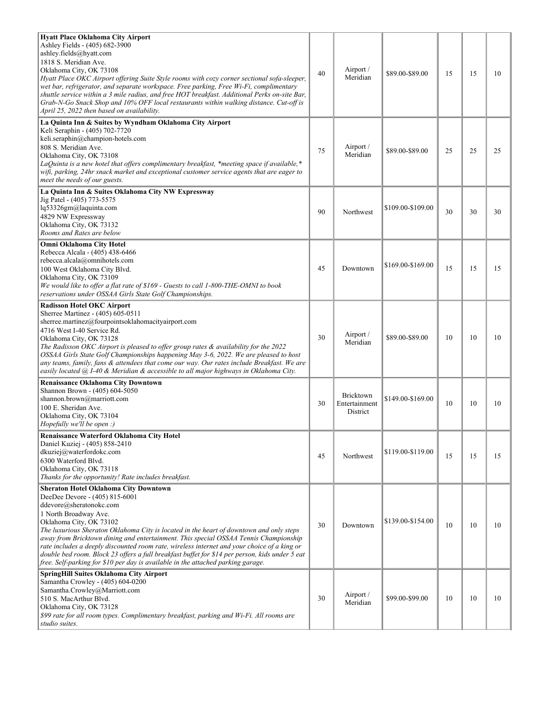| Hyatt Place Oklahoma City Airport<br>Ashley Fields - (405) 682-3900<br>ashley.fields@hyatt.com<br>1818 S. Meridian Ave.<br>Oklahoma City, OK 73108<br>Hyatt Place OKC Airport offering Suite Style rooms with cozy corner sectional sofa-sleeper,<br>wet bar, refrigerator, and separate workspace. Free parking, Free Wi-Fi, complimentary<br>shuttle service within a 3 mile radius, and free HOT breakfast. Additional Perks on-site Bar,<br>Grab-N-Go Snack Shop and 10% OFF local restaurants within walking distance. Cut-off is<br>April 25, 2022 then based on availability.                                                  | 40 | Airport /<br>Meridian                  | \$89.00-\$89.00   | 15 | 15 | 10 |
|---------------------------------------------------------------------------------------------------------------------------------------------------------------------------------------------------------------------------------------------------------------------------------------------------------------------------------------------------------------------------------------------------------------------------------------------------------------------------------------------------------------------------------------------------------------------------------------------------------------------------------------|----|----------------------------------------|-------------------|----|----|----|
| La Quinta Inn & Suites by Wyndham Oklahoma City Airport<br>Keli Seraphin - (405) 702-7720<br>keli.seraphin@champion-hotels.com<br>808 S. Meridian Ave.<br>Oklahoma City, OK 73108<br>LaQuinta is a new hotel that offers complimentary breakfast, *meeting space if available,*<br>wifi, parking, 24hr snack market and exceptional customer service agents that are eager to<br>meet the needs of our guests.                                                                                                                                                                                                                        | 75 | Airport /<br>Meridian                  | \$89.00-\$89.00   | 25 | 25 | 25 |
| La Quinta Inn & Suites Oklahoma City NW Expressway<br>Jig Patel - (405) 773-5575<br>lq53326gm@laquinta.com<br>4829 NW Expressway<br>Oklahoma City, OK 73132<br>Rooms and Rates are below                                                                                                                                                                                                                                                                                                                                                                                                                                              | 90 | Northwest                              | \$109.00-\$109.00 | 30 | 30 | 30 |
| Omni Oklahoma City Hotel<br>Rebecca Alcala - (405) 438-6466<br>rebecca.alcala@omnihotels.com<br>100 West Oklahoma City Blvd.<br>Oklahoma City, OK 73109<br>We would like to offer a flat rate of \$169 - Guests to call 1-800-THE-OMNI to book<br>reservations under OSSAA Girls State Golf Championships.                                                                                                                                                                                                                                                                                                                            | 45 | Downtown                               | \$169.00-\$169.00 | 15 | 15 | 15 |
| <b>Radisson Hotel OKC Airport</b><br>Sherree Martinez - (405) 605-0511<br>sherree.martinez@fourpointsoklahomacityairport.com<br>4716 West I-40 Service Rd.<br>Oklahoma City, OK 73128<br>The Radisson OKC Airport is pleased to offer group rates & availability for the 2022<br>OSSAA Girls State Golf Championships happening May 3-6, 2022. We are pleased to host<br>any teams, family, fans & attendees that come our way. Our rates include Breakfast. We are<br>easily located @ I-40 & Meridian & accessible to all major highways in Oklahoma City.                                                                          | 30 | Airport /<br>Meridian                  | \$89.00-\$89.00   | 10 | 10 | 10 |
| <b>Renaissance Oklahoma City Downtown</b><br>Shannon Brown - (405) 604-5050<br>shannon.brown@marriott.com<br>100 E. Sheridan Ave.<br>Oklahoma City, OK 73104<br>$Hopefully we'll be open$ :)                                                                                                                                                                                                                                                                                                                                                                                                                                          | 30 | Bricktown<br>Entertainment<br>District | \$149.00-\$169.00 | 10 | 10 | 10 |
| Renaissance Waterford Oklahoma City Hotel<br>Daniel Kuziej - (405) 858-2410<br>dkuziej@waterfordokc.com<br>6300 Waterford Blvd.<br>Oklahoma City, OK 73118<br>Thanks for the opportunity! Rate includes breakfast.                                                                                                                                                                                                                                                                                                                                                                                                                    | 45 | Northwest                              | \$119.00-\$119.00 | 15 | 15 | 15 |
| <b>Sheraton Hotel Oklahoma City Downtown</b><br>DeeDee Devore - (405) 815-6001<br>ddevore@sheratonokc.com<br>1 North Broadway Ave.<br>Oklahoma City, OK 73102<br>The luxurious Sheraton Oklahoma City is located in the heart of downtown and only steps<br>away from Bricktown dining and entertainment. This special OSSAA Tennis Championship<br>rate includes a deeply discounted room rate, wireless internet and your choice of a king or<br>double bed room. Block 23 offers a full breakfast buffet for \$14 per person, kids under 5 eat<br>free. Self-parking for \$10 per day is available in the attached parking garage. | 30 | Downtown                               | \$139.00-\$154.00 | 10 | 10 | 10 |
| SpringHill Suites Oklahoma City Airport<br>Samantha Crowley - (405) 604-0200<br>Samantha.Crowley@Marriott.com<br>510 S. MacArthur Blvd.<br>Oklahoma City, OK 73128<br>\$99 rate for all room types. Complimentary breakfast, parking and Wi-Fi. All rooms are<br>studio suites.                                                                                                                                                                                                                                                                                                                                                       | 30 | Airport /<br>Meridian                  | \$99.00-\$99.00   | 10 | 10 | 10 |